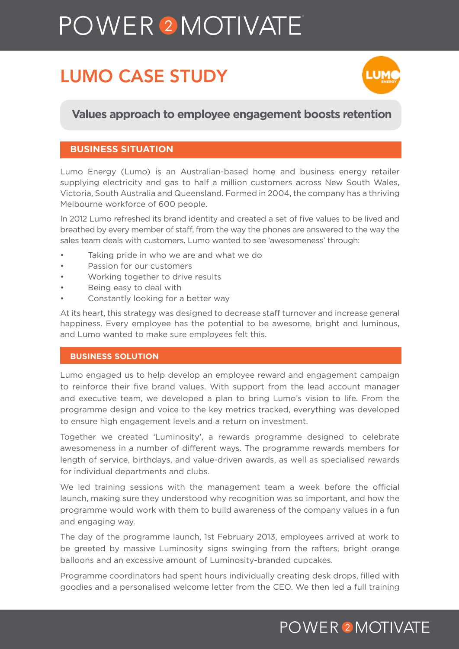# POWER<sup>2</sup>MOTIVATE

# LUMO CASE STUDY



#### **Values approach to employee engagement boosts retention**

#### **BUSINESS SITUATION**

Lumo Energy (Lumo) is an Australian-based home and business energy retailer supplying electricity and gas to half a million customers across New South Wales, Victoria, South Australia and Queensland. Formed in 2004, the company has a thriving Melbourne workforce of 600 people.

In 2012 Lumo refreshed its brand identity and created a set of five values to be lived and breathed by every member of staff, from the way the phones are answered to the way the sales team deals with customers. Lumo wanted to see 'awesomeness' through:

- Taking pride in who we are and what we do
- Passion for our customers
- Working together to drive results
- Being easy to deal with
- Constantly looking for a better way

At its heart, this strategy was designed to decrease staff turnover and increase general happiness. Every employee has the potential to be awesome, bright and luminous, and Lumo wanted to make sure employees felt this.

#### **BUSINESS SOLUTION**

Lumo engaged us to help develop an employee reward and engagement campaign to reinforce their five brand values. With support from the lead account manager and executive team, we developed a plan to bring Lumo's vision to life. From the programme design and voice to the key metrics tracked, everything was developed to ensure high engagement levels and a return on investment.

Together we created 'Luminosity', a rewards programme designed to celebrate awesomeness in a number of different ways. The programme rewards members for length of service, birthdays, and value-driven awards, as well as specialised rewards for individual departments and clubs.

We led training sessions with the management team a week before the official launch, making sure they understood why recognition was so important, and how the programme would work with them to build awareness of the company values in a fun and engaging way.

The day of the programme launch, 1st February 2013, employees arrived at work to be greeted by massive Luminosity signs swinging from the rafters, bright orange balloons and an excessive amount of Luminosity-branded cupcakes.

Programme coordinators had spent hours individually creating desk drops, filled with goodies and a personalised welcome letter from the CEO. We then led a full training

# **POWER 2 MOTIVATE**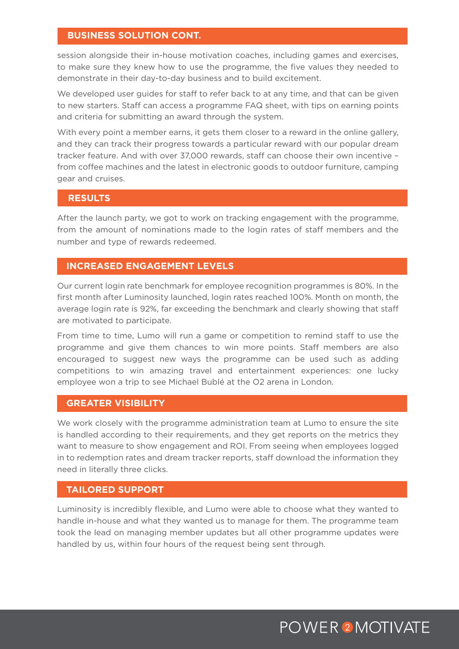#### **BUSINESS SOLUTION CONT.**

session alongside their in-house motivation coaches, including games and exercises, to make sure they knew how to use the programme, the five values they needed to demonstrate in their day-to-day business and to build excitement.

We developed user guides for staff to refer back to at any time, and that can be given to new starters. Staff can access a programme FAQ sheet, with tips on earning points and criteria for submitting an award through the system.

With every point a member earns, it gets them closer to a reward in the online gallery, and they can track their progress towards a particular reward with our popular dream tracker feature. And with over 37,000 rewards, staff can choose their own incentive – from coffee machines and the latest in electronic goods to outdoor furniture, camping gear and cruises.

#### **RESULTS**

After the launch party, we got to work on tracking engagement with the programme, from the amount of nominations made to the login rates of staff members and the number and type of rewards redeemed.

#### **INCREASED ENGAGEMENT LEVELS**

Our current login rate benchmark for employee recognition programmes is 80%. In the first month after Luminosity launched, login rates reached 100%. Month on month, the average login rate is 92%, far exceeding the benchmark and clearly showing that staff are motivated to participate.

From time to time, Lumo will run a game or competition to remind staff to use the programme and give them chances to win more points. Staff members are also encouraged to suggest new ways the programme can be used such as adding competitions to win amazing travel and entertainment experiences: one lucky employee won a trip to see Michael Bublé at the O2 arena in London.

#### **GREATER VISIBILITY**

We work closely with the programme administration team at Lumo to ensure the site is handled according to their requirements, and they get reports on the metrics they want to measure to show engagement and ROI. From seeing when employees logged in to redemption rates and dream tracker reports, staff download the information they need in literally three clicks.

#### **TAILORED SUPPORT**

Luminosity is incredibly flexible, and Lumo were able to choose what they wanted to handle in-house and what they wanted us to manage for them. The programme team took the lead on managing member updates but all other programme updates were handled by us, within four hours of the request being sent through.

### **POWER 2 MOTIVATE**